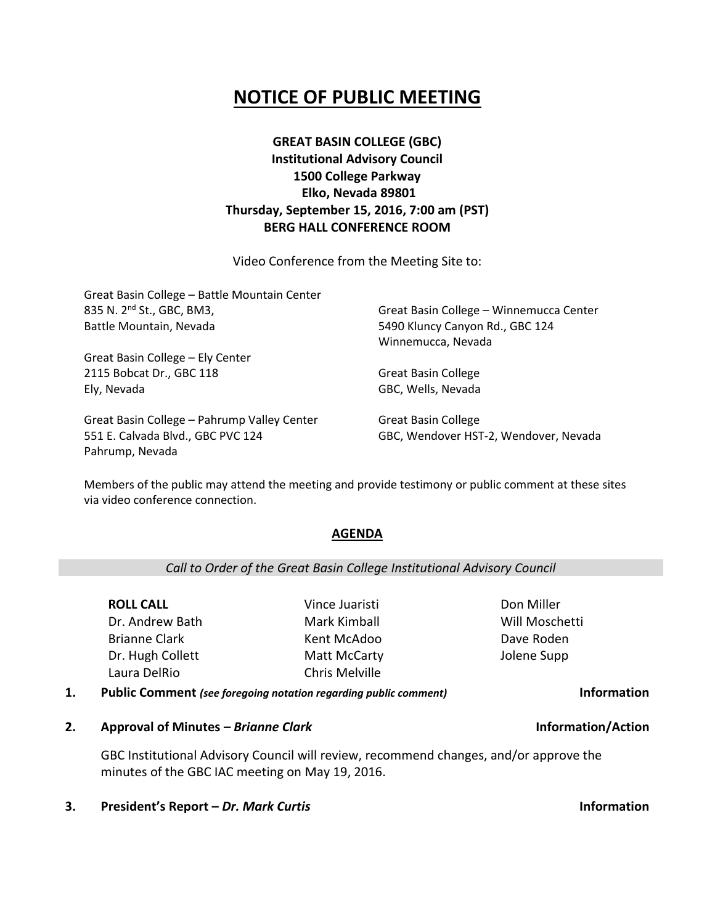# **NOTICE OF PUBLIC MEETING**

## **GREAT BASIN COLLEGE (GBC) Institutional Advisory Council 1500 College Parkway Elko, Nevada 89801 Thursday, September 15, 2016, 7:00 am (PST) BERG HALL CONFERENCE ROOM**

Video Conference from the Meeting Site to:

| Great Basin College - Battle Mountain Center |                                         |
|----------------------------------------------|-----------------------------------------|
| 835 N. 2 <sup>nd</sup> St., GBC, BM3,        | Great Basin College - Winnemucca Center |
| Battle Mountain, Nevada                      | 5490 Kluncy Canyon Rd., GBC 124         |
|                                              | Winnemucca, Nevada                      |
| Great Basin College - Ely Center             |                                         |
| 2115 Bobcat Dr., GBC 118                     | <b>Great Basin College</b>              |
| Ely, Nevada                                  | GBC, Wells, Nevada                      |
| Great Basin College - Pahrump Valley Center  | <b>Great Basin College</b>              |

551 E. Calvada Blvd., GBC PVC 124 Pahrump, Nevada

Great Basin College GBC, Wendover HST-2, Wendover, Nevada

> Don Miller Will Moschetti Dave Roden Jolene Supp

Members of the public may attend the meeting and provide testimony or public comment at these sites via video conference connection.

### **AGENDA**

### *Call to Order of the Great Basin College Institutional Advisory Council*

**ROLL CALL** Dr. Andrew Bath Brianne Clark Dr. Hugh Collett Laura DelRio

Vince Juaristi Mark Kimball Kent McAdoo Matt McCarty Chris Melville

**1. Public Comment** *(see foregoing notation regarding public comment)* **Information**

**2. Approval of Minutes –** *Brianne Clark* **Information/Action**

GBC Institutional Advisory Council will review, recommend changes, and/or approve the minutes of the GBC IAC meeting on May 19, 2016.

**3. President's Report –** *Dr. Mark Curtis* **Information**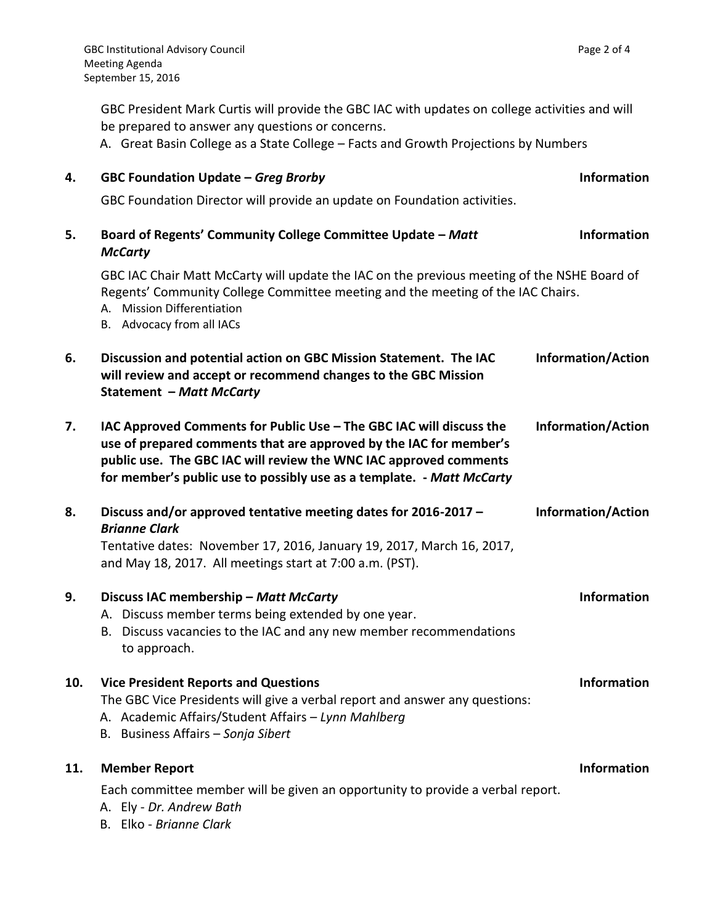GBC President Mark Curtis will provide the GBC IAC with updates on college activities and will be prepared to answer any questions or concerns.

A. Great Basin College as a State College – Facts and Growth Projections by Numbers

## **4. GBC Foundation Update –** *Greg Brorby* **Information**

GBC Foundation Director will provide an update on Foundation activities.

| 5.  | Board of Regents' Community College Committee Update - Matt<br><b>McCarty</b>                                                                                                                                                                                                           | <b>Information</b>        |
|-----|-----------------------------------------------------------------------------------------------------------------------------------------------------------------------------------------------------------------------------------------------------------------------------------------|---------------------------|
|     | GBC IAC Chair Matt McCarty will update the IAC on the previous meeting of the NSHE Board of<br>Regents' Community College Committee meeting and the meeting of the IAC Chairs.<br>A. Mission Differentiation<br>B. Advocacy from all IACs                                               |                           |
| 6.  | Discussion and potential action on GBC Mission Statement. The IAC<br>will review and accept or recommend changes to the GBC Mission<br><b>Statement - Matt McCarty</b>                                                                                                                  | <b>Information/Action</b> |
| 7.  | IAC Approved Comments for Public Use - The GBC IAC will discuss the<br>use of prepared comments that are approved by the IAC for member's<br>public use. The GBC IAC will review the WNC IAC approved comments<br>for member's public use to possibly use as a template. - Matt McCarty | <b>Information/Action</b> |
| 8.  | Discuss and/or approved tentative meeting dates for 2016-2017 -<br><b>Brianne Clark</b><br>Tentative dates: November 17, 2016, January 19, 2017, March 16, 2017,<br>and May 18, 2017. All meetings start at 7:00 a.m. (PST).                                                            | <b>Information/Action</b> |
| 9.  | Discuss IAC membership - Matt McCarty<br>A. Discuss member terms being extended by one year.<br>B. Discuss vacancies to the IAC and any new member recommendations<br>to approach.                                                                                                      | <b>Information</b>        |
| 10. | <b>Vice President Reports and Questions</b><br>The GBC Vice Presidents will give a verbal report and answer any questions:<br>A. Academic Affairs/Student Affairs - Lynn Mahlberg<br>B. Business Affairs - Sonja Sibert                                                                 | <b>Information</b>        |
| 11. | <b>Member Report</b><br>Each committee member will be given an opportunity to provide a verbal report.<br>A. Ely - Dr. Andrew Bath<br>B. Elko - Brianne Clark                                                                                                                           | <b>Information</b>        |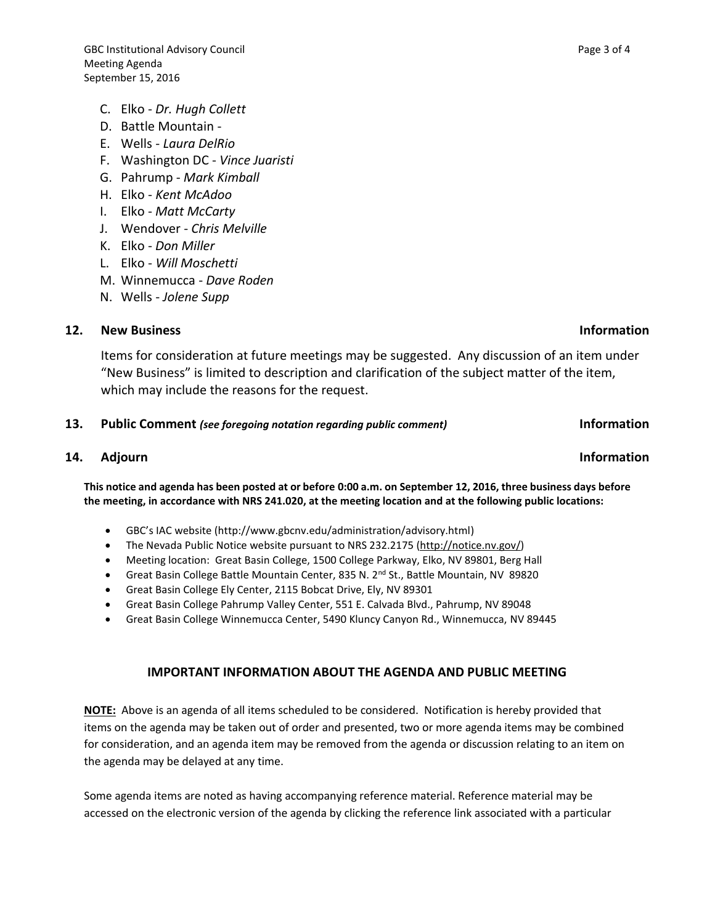- C. Elko *Dr. Hugh Collett*
- D. Battle Mountain -
- E. Wells *Laura DelRio*
- F. Washington DC *Vince Juaristi*
- G. Pahrump *Mark Kimball*
- H. Elko *Kent McAdoo*
- I. Elko *Matt McCarty*
- J. Wendover *Chris Melville*
- K. Elko *Don Miller*
- L. Elko *Will Moschetti*
- M. Winnemucca *Dave Roden*
- N. Wells *Jolene Supp*

### **12. New Business Information**

Items for consideration at future meetings may be suggested. Any discussion of an item under "New Business" is limited to description and clarification of the subject matter of the item, which may include the reasons for the request.

### **13. Public Comment** *(see foregoing notation regarding public comment)* **Information**

### **14.** Adjourn **Information**

**This notice and agenda has been posted at or before 0:00 a.m. on September 12, 2016, three business days before the meeting, in accordance with NRS 241.020, at the meeting location and at the following public locations:**

- GBC's IAC website (http://www.gbcnv.edu/administration/advisory.html)
- The Nevada Public Notice website pursuant to NRS 232.2175 [\(http://notice.nv.gov/\)](http://notice.nv.gov/)
- Meeting location: Great Basin College, 1500 College Parkway, Elko, NV 89801, Berg Hall
- Great Basin College Battle Mountain Center, 835 N. 2<sup>nd</sup> St., Battle Mountain, NV 89820
- Great Basin College Ely Center, 2115 Bobcat Drive, Ely, NV 89301
- Great Basin College Pahrump Valley Center, 551 E. Calvada Blvd., Pahrump, NV 89048
- Great Basin College Winnemucca Center, 5490 Kluncy Canyon Rd., Winnemucca, NV 89445

### **IMPORTANT INFORMATION ABOUT THE AGENDA AND PUBLIC MEETING**

**NOTE:** Above is an agenda of all items scheduled to be considered. Notification is hereby provided that items on the agenda may be taken out of order and presented, two or more agenda items may be combined for consideration, and an agenda item may be removed from the agenda or discussion relating to an item on the agenda may be delayed at any time.

Some agenda items are noted as having accompanying reference material. Reference material may be accessed on the electronic version of the agenda by clicking the reference link associated with a particular